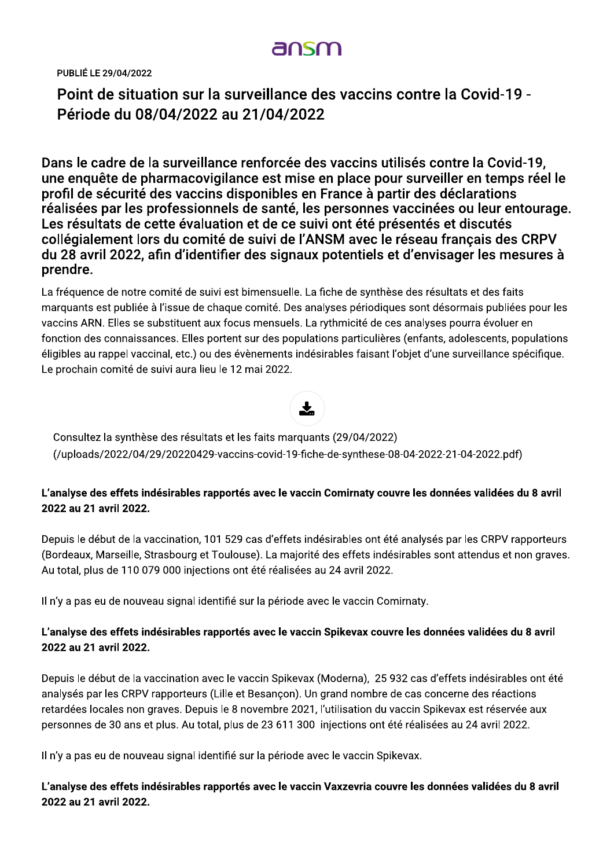# ansm

PUBLIÉ LE 29/04/2022

Point de situation sur la surveillance des vaccins contre la Covid-19 -Periode du 08/04/2022 au 21/04/2022

Dans le cadre de la surveillance renforcée des vaccins utilisés contre la Covid-19, une enquete de pharmacovigilance est mise en place pour surveiller en temps réél le . profil de securité des vaccins disponibles en France à partir des déclarations<br>Constituées realisées par les professionnels de santé, les personnes vaccinées ou leur entourage.<br>. Les resultats de cette évaluation et de ce suivi ont été présentes et discutés : collegialement lors du comité de suivi de l'ANSM avec le reseau français des CRPV /04/2022 au 21/04/2022<br>a surveillance renforcée des vaccins utilisés contre<br>armacovigilance est mise en place pour surveiller e<br>des vaccins disponibles en France à partir des décla<br>rofessionnels de santé, les personnes vac du 28 avril 2022, afin d'identifier des signaux potentiels et d'envisager les mésures à l' prenare.

La fréquence de notre comité de suivi est bimensuelle. La fiche de synthèse des résultats et des faits marquants est publiée à l'issue de chaque comité. Des analyses périodiques sont désormais publiées pour les vaccins ARN. Elles se substituent aux focus mensuels. La rythmicité de ces analyses pourra évoluer en fonction des connaissances. Elles portent sur des populations particulières (enfants, adolescents, populations éligibles au rappel vaccinal, etc.) ou des évènements indésirables faisant l'objet d'une surveillance spécifique. Le prochain comité de suivi aura lieu le 12 mai 2022.



Consultez la synthèse des résultats et les faits marquants (29/04/2022) (/uploads/2022/04/29/20220429-vaccins-covid-19-fiche-de-synthese-08-04-2022-21-04-2022.pdf)

## L'analyse des effets indésirables rapportés avec le vaccin Comirnaty couvre les données validées du 8 avril 2022 au 21 avril 2022.

Depuis le début de la vaccination, 101 529 cas d'effets indésirables ont été analysés par les CRPV rapporteurs (Bordeaux, Marseille, Strasbourg et Toulouse). La majorité des effets indésirables sont attendus et non graves. Au total, plus de 110 079 000 injections ont été réalisées au 24 avril 2022.

Il n'y a pas eu de nouveau signal identifié sur la période avec le vaccin Comirnaty.

## L'analyse des effets indésirables rapportés avec le vaccin Spikevax couvre les données validées du 8 avril 2022 au 21 avril 2022.

Depuis le début de la vaccination avec le vaccin Spikevax (Moderna), 25 932 cas d'effets indésirables ont été analysés par les CRPV rapporteurs (Lille et Besançon). Un grand nombre de cas concerne des réactions retardées locales non graves. Depuis le 8 novembre 2021, l'utilisation du vaccin Spikevax est réservée aux personnes de 30 ans et plus. Au total, plus de 23 611 300 injections ont été réalisées au 24 avril 2022.

Il n'y a pas eu de nouveau signal identifié sur la période avec le vaccin Spikevax.

L'analyse des effets indésirables rapportés avec le vaccin Vaxzevria couvre les données validées du 8 avril 2022 au 21 avril 2022.